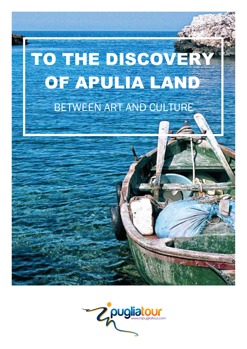

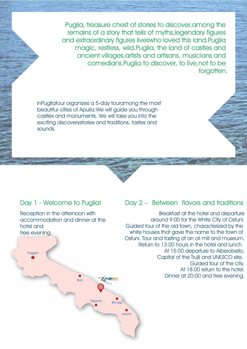Puglia, treasure chest of stories to discover,among the remains of a story that tells of myths,legendary figures and extraordinary figures liveswho loved this land.Puglia magic, restless, wild.Puglia, the land of castles and ancient villages,artists and artisans, musicians and comedians.Puglia to discover, to live,not to be forgotten.

InPugliatour organizes a 5-day touramong the most beautiful cities of Apulia.We will guide you through castles and monuments. We will take you into the exciting discoverystories and traditions, tastes and sounds.

### Day 1 - Welcome to Puglia!

Reception in the afternoon with accommodation and dinner at the hotel and free evening.

# Foggia Z<sub>pugliatour</sub> Bari **Taranto** Brindisi Lecce

### Day 2 – Between flavors and traditions

 Breakfast at the hotel and departure around 9:00 for the White City of Ostuni. Guided tour of the old town, characterized by the white houses that gave the name to the town of Ostuni. Tour and tasting at an oil mill and museum. Return to 13.00 hours in the hotel and lunch. At 15:00 departure to Alberobello, Capital of the Trulli and UNESCO site. Guided tour of the city. At 18:00 return to the hotel. Dinner at 20:00 and free evening.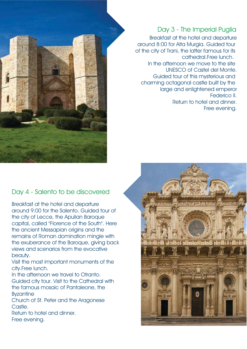

Day 3 - The Imperial Puglia

Breakfast at the hotel and departure around 8:00 for Alta Murgia. Guided tour of the city of Trani, the latter famous for its cathedral.Free lunch. In the afternoon we move to the site UNESCO of Castel del Monte. Guided tour of this mysterious and charming octagonal castle built by the large and enlightened emperor Federico II. Return to hotel and dinner. Free evening.

#### Day 4 - Salento to be discovered

Breakfast at the hotel and departure around 9:00 for the Salento. Guided tour of the city of Lecce, the Apulian Baroque capital, called "Florence of the South". Here the ancient Messapian origins and the remains of Roman domination mingle with the exuberance of the Baroque, giving back views and scenarios from the evocative beauty.

Visit the most important monuments of the city.Free lunch.

In the afternoon we travel to Otranto. Guided city tour. Visit to the Cathedral with the famous mosaic of Pantaleone, the **Byzantine** 

Church of St. Peter and the Aragonese Castle.

Return to hotel and dinner. Free evening.

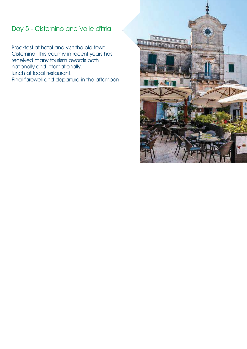## Day 5 - Cisternino and Valle d'Itria

Breakfast at hotel and visit the old town Cisternino. This country in recent years has received many tourism awards both nationally and internationally. lunch at local restaurant. Final farewell and departure in the afternoon